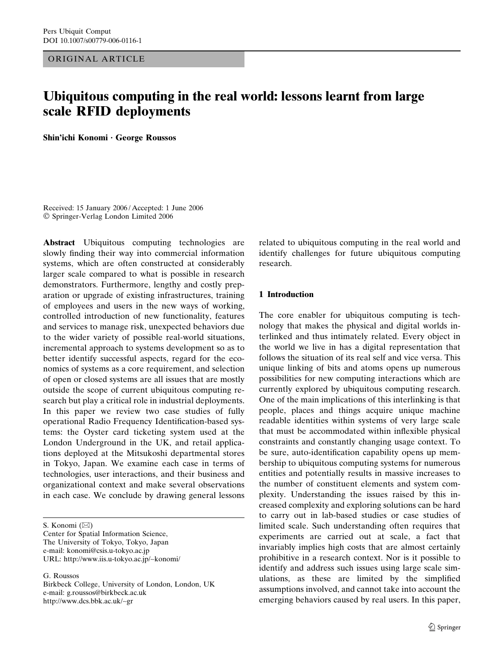ORIGINAL ARTICLE

# Ubiquitous computing in the real world: lessons learnt from large scale RFID deployments

Shin'ichi Konomi · George Roussos

Received: 15 January 2006 / Accepted: 1 June 2006 Springer-Verlag London Limited 2006

Abstract Ubiquitous computing technologies are slowly finding their way into commercial information systems, which are often constructed at considerably larger scale compared to what is possible in research demonstrators. Furthermore, lengthy and costly preparation or upgrade of existing infrastructures, training of employees and users in the new ways of working, controlled introduction of new functionality, features and services to manage risk, unexpected behaviors due to the wider variety of possible real-world situations, incremental approach to systems development so as to better identify successful aspects, regard for the economics of systems as a core requirement, and selection of open or closed systems are all issues that are mostly outside the scope of current ubiquitous computing research but play a critical role in industrial deployments. In this paper we review two case studies of fully operational Radio Frequency Identification-based systems: the Oyster card ticketing system used at the London Underground in the UK, and retail applications deployed at the Mitsukoshi departmental stores in Tokyo, Japan. We examine each case in terms of technologies, user interactions, and their business and organizational context and make several observations in each case. We conclude by drawing general lessons

S. Konomi (⊠)

Center for Spatial Information Science, The University of Tokyo, Tokyo, Japan e-mail: konomi@csis.u-tokyo.ac.jp URL: http://www.iis.u-tokyo.ac.jp/~konomi/

G. Roussos

Birkbeck College, University of London, London, UK e-mail: g.roussos@birkbeck.ac.uk http://www.dcs.bbk.ac.uk/~gr

related to ubiquitous computing in the real world and identify challenges for future ubiquitous computing research.

#### 1 Introduction

The core enabler for ubiquitous computing is technology that makes the physical and digital worlds interlinked and thus intimately related. Every object in the world we live in has a digital representation that follows the situation of its real self and vice versa. This unique linking of bits and atoms opens up numerous possibilities for new computing interactions which are currently explored by ubiquitous computing research. One of the main implications of this interlinking is that people, places and things acquire unique machine readable identities within systems of very large scale that must be accommodated within inflexible physical constraints and constantly changing usage context. To be sure, auto-identification capability opens up membership to ubiquitous computing systems for numerous entities and potentially results in massive increases to the number of constituent elements and system complexity. Understanding the issues raised by this increased complexity and exploring solutions can be hard to carry out in lab-based studies or case studies of limited scale. Such understanding often requires that experiments are carried out at scale, a fact that invariably implies high costs that are almost certainly prohibitive in a research context. Nor is it possible to identify and address such issues using large scale simulations, as these are limited by the simplified assumptions involved, and cannot take into account the emerging behaviors caused by real users. In this paper,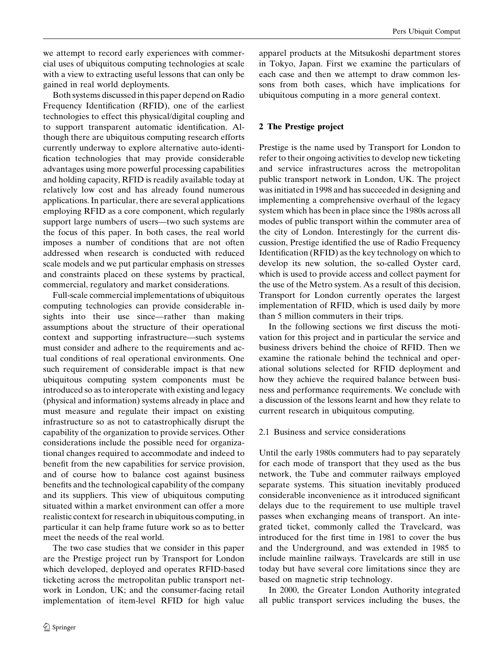we attempt to record early experiences with commercial uses of ubiquitous computing technologies at scale with a view to extracting useful lessons that can only be gained in real world deployments.

Both systems discussed in this paper depend on Radio Frequency Identification (RFID), one of the earliest technologies to effect this physical/digital coupling and to support transparent automatic identification. Although there are ubiquitous computing research efforts currently underway to explore alternative auto-identification technologies that may provide considerable advantages using more powerful processing capabilities and holding capacity, RFID is readily available today at relatively low cost and has already found numerous applications. In particular, there are several applications employing RFID as a core component, which regularly support large numbers of users—two such systems are the focus of this paper. In both cases, the real world imposes a number of conditions that are not often addressed when research is conducted with reduced scale models and we put particular emphasis on stresses and constraints placed on these systems by practical, commercial, regulatory and market considerations.

Full-scale commercial implementations of ubiquitous computing technologies can provide considerable insights into their use since—rather than making assumptions about the structure of their operational context and supporting infrastructure—such systems must consider and adhere to the requirements and actual conditions of real operational environments. One such requirement of considerable impact is that new ubiquitous computing system components must be introduced so as to interoperate with existing and legacy (physical and information) systems already in place and must measure and regulate their impact on existing infrastructure so as not to catastrophically disrupt the capability of the organization to provide services. Other considerations include the possible need for organizational changes required to accommodate and indeed to benefit from the new capabilities for service provision, and of course how to balance cost against business benefits and the technological capability of the company and its suppliers. This view of ubiquitous computing situated within a market environment can offer a more realistic context for research in ubiquitous computing, in particular it can help frame future work so as to better meet the needs of the real world.

The two case studies that we consider in this paper are the Prestige project run by Transport for London which developed, deployed and operates RFID-based ticketing across the metropolitan public transport network in London, UK; and the consumer-facing retail implementation of item-level RFID for high value apparel products at the Mitsukoshi department stores in Tokyo, Japan. First we examine the particulars of each case and then we attempt to draw common lessons from both cases, which have implications for ubiquitous computing in a more general context.

# 2 The Prestige project

Prestige is the name used by Transport for London to refer to their ongoing activities to develop new ticketing and service infrastructures across the metropolitan public transport network in London, UK. The project was initiated in 1998 and has succeeded in designing and implementing a comprehensive overhaul of the legacy system which has been in place since the 1980s across all modes of public transport within the commuter area of the city of London. Interestingly for the current discussion, Prestige identified the use of Radio Frequency Identification (RFID) as the key technology on which to develop its new solution, the so-called Oyster card, which is used to provide access and collect payment for the use of the Metro system. As a result of this decision, Transport for London currently operates the largest implementation of RFID, which is used daily by more than 5 million commuters in their trips.

In the following sections we first discuss the motivation for this project and in particular the service and business drivers behind the choice of RFID. Then we examine the rationale behind the technical and operational solutions selected for RFID deployment and how they achieve the required balance between business and performance requirements. We conclude with a discussion of the lessons learnt and how they relate to current research in ubiquitous computing.

## 2.1 Business and service considerations

Until the early 1980s commuters had to pay separately for each mode of transport that they used as the bus network, the Tube and commuter railways employed separate systems. This situation inevitably produced considerable inconvenience as it introduced significant delays due to the requirement to use multiple travel passes when exchanging means of transport. An integrated ticket, commonly called the Travelcard, was introduced for the first time in 1981 to cover the bus and the Underground, and was extended in 1985 to include mainline railways. Travelcards are still in use today but have several core limitations since they are based on magnetic strip technology.

In 2000, the Greater London Authority integrated all public transport services including the buses, the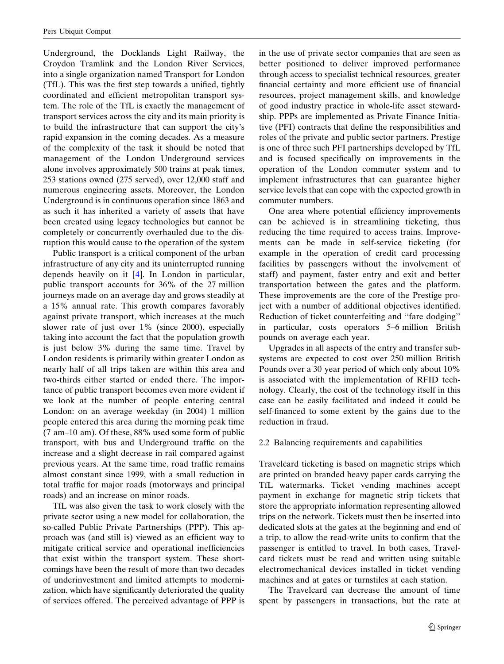Underground, the Docklands Light Railway, the Croydon Tramlink and the London River Services, into a single organization named Transport for London (TfL). This was the first step towards a unified, tightly coordinated and efficient metropolitan transport system. The role of the TfL is exactly the management of transport services across the city and its main priority is to build the infrastructure that can support the city's rapid expansion in the coming decades. As a measure of the complexity of the task it should be noted that management of the London Underground services alone involves approximately 500 trains at peak times, 253 stations owned (275 served), over 12,000 staff and numerous engineering assets. Moreover, the London Underground is in continuous operation since 1863 and as such it has inherited a variety of assets that have been created using legacy technologies but cannot be completely or concurrently overhauled due to the disruption this would cause to the operation of the system

Public transport is a critical component of the urban infrastructure of any city and its uninterrupted running depends heavily on it [\[4](#page-14-0)]. In London in particular, public transport accounts for 36% of the 27 million journeys made on an average day and grows steadily at a 15% annual rate. This growth compares favorably against private transport, which increases at the much slower rate of just over 1% (since 2000), especially taking into account the fact that the population growth is just below 3% during the same time. Travel by London residents is primarily within greater London as nearly half of all trips taken are within this area and two-thirds either started or ended there. The importance of public transport becomes even more evident if we look at the number of people entering central London: on an average weekday (in 2004) 1 million people entered this area during the morning peak time (7 am–10 am). Of these, 88% used some form of public transport, with bus and Underground traffic on the increase and a slight decrease in rail compared against previous years. At the same time, road traffic remains almost constant since 1999, with a small reduction in total traffic for major roads (motorways and principal roads) and an increase on minor roads.

TfL was also given the task to work closely with the private sector using a new model for collaboration, the so-called Public Private Partnerships (PPP). This approach was (and still is) viewed as an efficient way to mitigate critical service and operational inefficiencies that exist within the transport system. These shortcomings have been the result of more than two decades of underinvestment and limited attempts to modernization, which have significantly deteriorated the quality of services offered. The perceived advantage of PPP is in the use of private sector companies that are seen as better positioned to deliver improved performance through access to specialist technical resources, greater financial certainty and more efficient use of financial resources, project management skills, and knowledge of good industry practice in whole-life asset stewardship. PPPs are implemented as Private Finance Initiative (PFI) contracts that define the responsibilities and roles of the private and public sector partners. Prestige is one of three such PFI partnerships developed by TfL and is focused specifically on improvements in the operation of the London commuter system and to implement infrastructures that can guarantee higher service levels that can cope with the expected growth in commuter numbers.

One area where potential efficiency improvements can be achieved is in streamlining ticketing, thus reducing the time required to access trains. Improvements can be made in self-service ticketing (for example in the operation of credit card processing facilities by passengers without the involvement of staff) and payment, faster entry and exit and better transportation between the gates and the platform. These improvements are the core of the Prestige project with a number of additional objectives identified. Reduction of ticket counterfeiting and ''fare dodging'' in particular, costs operators 5–6 million British pounds on average each year.

Upgrades in all aspects of the entry and transfer subsystems are expected to cost over 250 million British Pounds over a 30 year period of which only about 10% is associated with the implementation of RFID technology. Clearly, the cost of the technology itself in this case can be easily facilitated and indeed it could be self-financed to some extent by the gains due to the reduction in fraud.

#### 2.2 Balancing requirements and capabilities

Travelcard ticketing is based on magnetic strips which are printed on branded heavy paper cards carrying the TfL watermarks. Ticket vending machines accept payment in exchange for magnetic strip tickets that store the appropriate information representing allowed trips on the network. Tickets must then be inserted into dedicated slots at the gates at the beginning and end of a trip, to allow the read-write units to confirm that the passenger is entitled to travel. In both cases, Travelcard tickets must be read and written using suitable electromechanical devices installed in ticket vending machines and at gates or turnstiles at each station.

The Travelcard can decrease the amount of time spent by passengers in transactions, but the rate at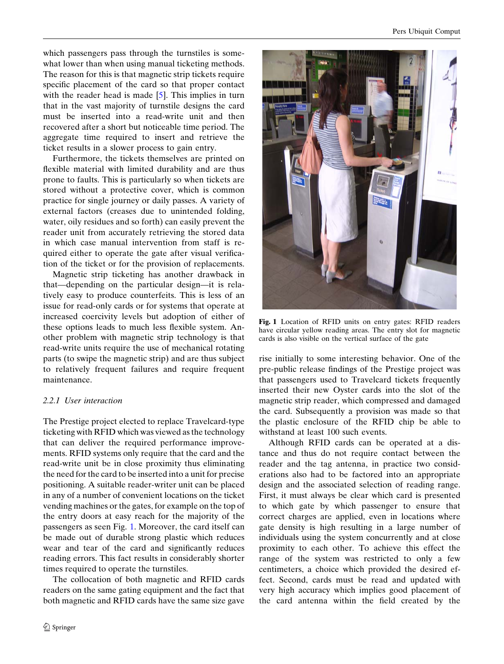Pers Ubiquit Comput

<span id="page-3-0"></span>which passengers pass through the turnstiles is somewhat lower than when using manual ticketing methods. The reason for this is that magnetic strip tickets require specific placement of the card so that proper contact with the reader head is made [[5\]](#page-14-0). This implies in turn that in the vast majority of turnstile designs the card must be inserted into a read-write unit and then recovered after a short but noticeable time period. The aggregate time required to insert and retrieve the ticket results in a slower process to gain entry.

Furthermore, the tickets themselves are printed on flexible material with limited durability and are thus prone to faults. This is particularly so when tickets are stored without a protective cover, which is common practice for single journey or daily passes. A variety of external factors (creases due to unintended folding, water, oily residues and so forth) can easily prevent the reader unit from accurately retrieving the stored data in which case manual intervention from staff is required either to operate the gate after visual verification of the ticket or for the provision of replacements.

Magnetic strip ticketing has another drawback in that—depending on the particular design—it is relatively easy to produce counterfeits. This is less of an issue for read-only cards or for systems that operate at increased coercivity levels but adoption of either of these options leads to much less flexible system. Another problem with magnetic strip technology is that read-write units require the use of mechanical rotating parts (to swipe the magnetic strip) and are thus subject to relatively frequent failures and require frequent maintenance.

#### 2.2.1 User interaction

The Prestige project elected to replace Travelcard-type ticketing with RFID which was viewed as the technology that can deliver the required performance improvements. RFID systems only require that the card and the read-write unit be in close proximity thus eliminating the need for the card to be inserted into a unit for precise positioning. A suitable reader-writer unit can be placed in any of a number of convenient locations on the ticket vending machines or the gates, for example on the top of the entry doors at easy reach for the majority of the passengers as seen Fig. 1. Moreover, the card itself can be made out of durable strong plastic which reduces wear and tear of the card and significantly reduces reading errors. This fact results in considerably shorter times required to operate the turnstiles.

The collocation of both magnetic and RFID cards readers on the same gating equipment and the fact that both magnetic and RFID cards have the same size gave



Fig. 1 Location of RFID units on entry gates: RFID readers have circular yellow reading areas. The entry slot for magnetic cards is also visible on the vertical surface of the gate

rise initially to some interesting behavior. One of the pre-public release findings of the Prestige project was that passengers used to Travelcard tickets frequently inserted their new Oyster cards into the slot of the magnetic strip reader, which compressed and damaged the card. Subsequently a provision was made so that the plastic enclosure of the RFID chip be able to withstand at least 100 such events.

Although RFID cards can be operated at a distance and thus do not require contact between the reader and the tag antenna, in practice two considerations also had to be factored into an appropriate design and the associated selection of reading range. First, it must always be clear which card is presented to which gate by which passenger to ensure that correct charges are applied, even in locations where gate density is high resulting in a large number of individuals using the system concurrently and at close proximity to each other. To achieve this effect the range of the system was restricted to only a few centimeters, a choice which provided the desired effect. Second, cards must be read and updated with very high accuracy which implies good placement of the card antenna within the field created by the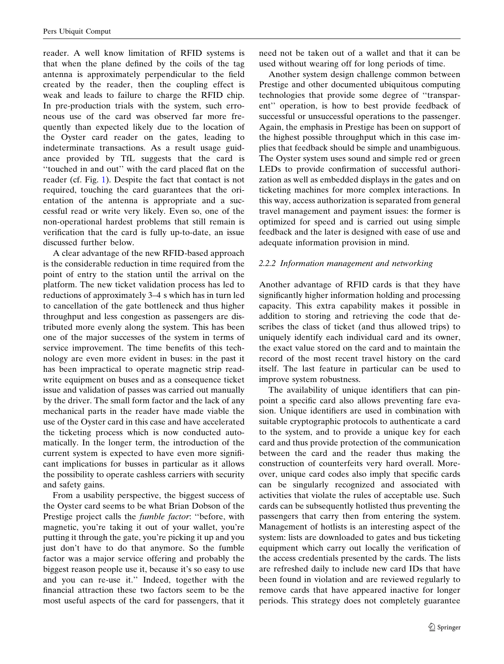reader. A well know limitation of RFID systems is that when the plane defined by the coils of the tag antenna is approximately perpendicular to the field created by the reader, then the coupling effect is weak and leads to failure to charge the RFID chip. In pre-production trials with the system, such erroneous use of the card was observed far more frequently than expected likely due to the location of the Oyster card reader on the gates, leading to indeterminate transactions. As a result usage guidance provided by TfL suggests that the card is ''touched in and out'' with the card placed flat on the reader (cf. Fig. [1](#page-3-0)). Despite the fact that contact is not required, touching the card guarantees that the orientation of the antenna is appropriate and a successful read or write very likely. Even so, one of the non-operational hardest problems that still remain is verification that the card is fully up-to-date, an issue discussed further below.

A clear advantage of the new RFID-based approach is the considerable reduction in time required from the point of entry to the station until the arrival on the platform. The new ticket validation process has led to reductions of approximately 3–4 s which has in turn led to cancellation of the gate bottleneck and thus higher throughput and less congestion as passengers are distributed more evenly along the system. This has been one of the major successes of the system in terms of service improvement. The time benefits of this technology are even more evident in buses: in the past it has been impractical to operate magnetic strip readwrite equipment on buses and as a consequence ticket issue and validation of passes was carried out manually by the driver. The small form factor and the lack of any mechanical parts in the reader have made viable the use of the Oyster card in this case and have accelerated the ticketing process which is now conducted automatically. In the longer term, the introduction of the current system is expected to have even more significant implications for busses in particular as it allows the possibility to operate cashless carriers with security and safety gains.

From a usability perspective, the biggest success of the Oyster card seems to be what Brian Dobson of the Prestige project calls the *fumble factor*: "before, with magnetic, you're taking it out of your wallet, you're putting it through the gate, you're picking it up and you just don't have to do that anymore. So the fumble factor was a major service offering and probably the biggest reason people use it, because it's so easy to use and you can re-use it.'' Indeed, together with the financial attraction these two factors seem to be the most useful aspects of the card for passengers, that it need not be taken out of a wallet and that it can be used without wearing off for long periods of time.

Another system design challenge common between Prestige and other documented ubiquitous computing technologies that provide some degree of ''transparent'' operation, is how to best provide feedback of successful or unsuccessful operations to the passenger. Again, the emphasis in Prestige has been on support of the highest possible throughput which in this case implies that feedback should be simple and unambiguous. The Oyster system uses sound and simple red or green LEDs to provide confirmation of successful authorization as well as embedded displays in the gates and on ticketing machines for more complex interactions. In this way, access authorization is separated from general travel management and payment issues: the former is optimized for speed and is carried out using simple feedback and the later is designed with ease of use and adequate information provision in mind.

## 2.2.2 Information management and networking

Another advantage of RFID cards is that they have significantly higher information holding and processing capacity. This extra capability makes it possible in addition to storing and retrieving the code that describes the class of ticket (and thus allowed trips) to uniquely identify each individual card and its owner, the exact value stored on the card and to maintain the record of the most recent travel history on the card itself. The last feature in particular can be used to improve system robustness.

The availability of unique identifiers that can pinpoint a specific card also allows preventing fare evasion. Unique identifiers are used in combination with suitable cryptographic protocols to authenticate a card to the system, and to provide a unique key for each card and thus provide protection of the communication between the card and the reader thus making the construction of counterfeits very hard overall. Moreover, unique card codes also imply that specific cards can be singularly recognized and associated with activities that violate the rules of acceptable use. Such cards can be subsequently hotlisted thus preventing the passengers that carry then from entering the system. Management of hotlists is an interesting aspect of the system: lists are downloaded to gates and bus ticketing equipment which carry out locally the verification of the access credentials presented by the cards. The lists are refreshed daily to include new card IDs that have been found in violation and are reviewed regularly to remove cards that have appeared inactive for longer periods. This strategy does not completely guarantee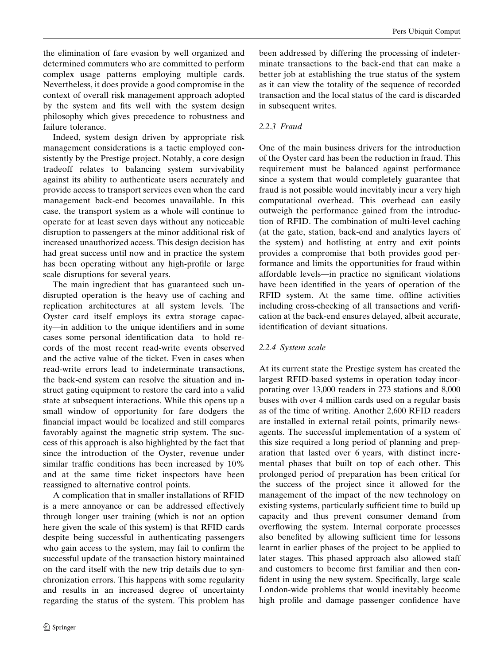the elimination of fare evasion by well organized and determined commuters who are committed to perform complex usage patterns employing multiple cards. Nevertheless, it does provide a good compromise in the context of overall risk management approach adopted by the system and fits well with the system design philosophy which gives precedence to robustness and failure tolerance.

Indeed, system design driven by appropriate risk management considerations is a tactic employed consistently by the Prestige project. Notably, a core design tradeoff relates to balancing system survivability against its ability to authenticate users accurately and provide access to transport services even when the card management back-end becomes unavailable. In this case, the transport system as a whole will continue to operate for at least seven days without any noticeable disruption to passengers at the minor additional risk of increased unauthorized access. This design decision has had great success until now and in practice the system has been operating without any high-profile or large scale disruptions for several years.

The main ingredient that has guaranteed such undisrupted operation is the heavy use of caching and replication architectures at all system levels. The Oyster card itself employs its extra storage capacity—in addition to the unique identifiers and in some cases some personal identification data—to hold records of the most recent read-write events observed and the active value of the ticket. Even in cases when read-write errors lead to indeterminate transactions, the back-end system can resolve the situation and instruct gating equipment to restore the card into a valid state at subsequent interactions. While this opens up a small window of opportunity for fare dodgers the financial impact would be localized and still compares favorably against the magnetic strip system. The success of this approach is also highlighted by the fact that since the introduction of the Oyster, revenue under similar traffic conditions has been increased by 10% and at the same time ticket inspectors have been reassigned to alternative control points.

A complication that in smaller installations of RFID is a mere annoyance or can be addressed effectively through longer user training (which is not an option here given the scale of this system) is that RFID cards despite being successful in authenticating passengers who gain access to the system, may fail to confirm the successful update of the transaction history maintained on the card itself with the new trip details due to synchronization errors. This happens with some regularity and results in an increased degree of uncertainty regarding the status of the system. This problem has been addressed by differing the processing of indeterminate transactions to the back-end that can make a better job at establishing the true status of the system as it can view the totality of the sequence of recorded transaction and the local status of the card is discarded in subsequent writes.

# 2.2.3 Fraud

One of the main business drivers for the introduction of the Oyster card has been the reduction in fraud. This requirement must be balanced against performance since a system that would completely guarantee that fraud is not possible would inevitably incur a very high computational overhead. This overhead can easily outweigh the performance gained from the introduction of RFID. The combination of multi-level caching (at the gate, station, back-end and analytics layers of the system) and hotlisting at entry and exit points provides a compromise that both provides good performance and limits the opportunities for fraud within affordable levels—in practice no significant violations have been identified in the years of operation of the RFID system. At the same time, offline activities including cross-checking of all transactions and verification at the back-end ensures delayed, albeit accurate, identification of deviant situations.

# 2.2.4 System scale

At its current state the Prestige system has created the largest RFID-based systems in operation today incorporating over 13,000 readers in 273 stations and 8,000 buses with over 4 million cards used on a regular basis as of the time of writing. Another 2,600 RFID readers are installed in external retail points, primarily newsagents. The successful implementation of a system of this size required a long period of planning and preparation that lasted over 6 years, with distinct incremental phases that built on top of each other. This prolonged period of preparation has been critical for the success of the project since it allowed for the management of the impact of the new technology on existing systems, particularly sufficient time to build up capacity and thus prevent consumer demand from overflowing the system. Internal corporate processes also benefited by allowing sufficient time for lessons learnt in earlier phases of the project to be applied to later stages. This phased approach also allowed staff and customers to become first familiar and then confident in using the new system. Specifically, large scale London-wide problems that would inevitably become high profile and damage passenger confidence have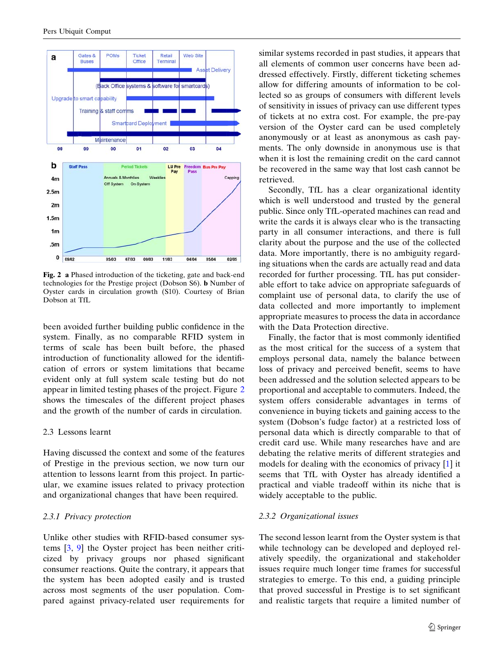

Fig. 2 a Phased introduction of the ticketing, gate and back-end technologies for the Prestige project (Dobson S6). b Number of Oyster cards in circulation growth (S10). Courtesy of Brian Dobson at TfL

been avoided further building public confidence in the system. Finally, as no comparable RFID system in terms of scale has been built before, the phased introduction of functionality allowed for the identification of errors or system limitations that became evident only at full system scale testing but do not appear in limited testing phases of the project. Figure 2 shows the timescales of the different project phases and the growth of the number of cards in circulation.

#### 2.3 Lessons learnt

Having discussed the context and some of the features of Prestige in the previous section, we now turn our attention to lessons learnt from this project. In particular, we examine issues related to privacy protection and organizational changes that have been required.

#### 2.3.1 Privacy protection

Unlike other studies with RFID-based consumer systems [\[3](#page-14-0), [9\]](#page-14-0) the Oyster project has been neither criticized by privacy groups nor phased significant consumer reactions. Quite the contrary, it appears that the system has been adopted easily and is trusted across most segments of the user population. Compared against privacy-related user requirements for similar systems recorded in past studies, it appears that all elements of common user concerns have been addressed effectively. Firstly, different ticketing schemes allow for differing amounts of information to be collected so as groups of consumers with different levels of sensitivity in issues of privacy can use different types of tickets at no extra cost. For example, the pre-pay version of the Oyster card can be used completely anonymously or at least as anonymous as cash payments. The only downside in anonymous use is that when it is lost the remaining credit on the card cannot be recovered in the same way that lost cash cannot be retrieved.

Secondly, TfL has a clear organizational identity which is well understood and trusted by the general public. Since only TfL-operated machines can read and write the cards it is always clear who is the transacting party in all consumer interactions, and there is full clarity about the purpose and the use of the collected data. More importantly, there is no ambiguity regarding situations when the cards are actually read and data recorded for further processing. TfL has put considerable effort to take advice on appropriate safeguards of complaint use of personal data, to clarify the use of data collected and more importantly to implement appropriate measures to process the data in accordance with the Data Protection directive.

Finally, the factor that is most commonly identified as the most critical for the success of a system that employs personal data, namely the balance between loss of privacy and perceived benefit, seems to have been addressed and the solution selected appears to be proportional and acceptable to commuters. Indeed, the system offers considerable advantages in terms of convenience in buying tickets and gaining access to the system (Dobson's fudge factor) at a restricted loss of personal data which is directly comparable to that of credit card use. While many researches have and are debating the relative merits of different strategies and models for dealing with the economics of privacy [[1\]](#page-14-0) it seems that TfL with Oyster has already identified a practical and viable tradeoff within its niche that is widely acceptable to the public.

## 2.3.2 Organizational issues

The second lesson learnt from the Oyster system is that while technology can be developed and deployed relatively speedily, the organizational and stakeholder issues require much longer time frames for successful strategies to emerge. To this end, a guiding principle that proved successful in Prestige is to set significant and realistic targets that require a limited number of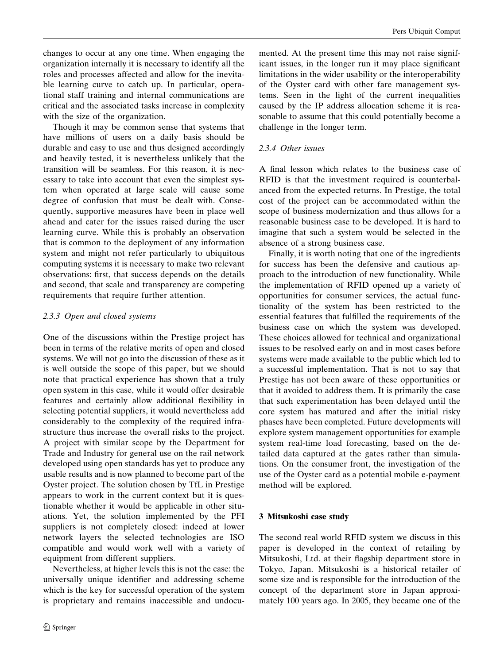changes to occur at any one time. When engaging the organization internally it is necessary to identify all the roles and processes affected and allow for the inevitable learning curve to catch up. In particular, operational staff training and internal communications are critical and the associated tasks increase in complexity with the size of the organization.

Though it may be common sense that systems that have millions of users on a daily basis should be durable and easy to use and thus designed accordingly and heavily tested, it is nevertheless unlikely that the transition will be seamless. For this reason, it is necessary to take into account that even the simplest system when operated at large scale will cause some degree of confusion that must be dealt with. Consequently, supportive measures have been in place well ahead and cater for the issues raised during the user learning curve. While this is probably an observation that is common to the deployment of any information system and might not refer particularly to ubiquitous computing systems it is necessary to make two relevant observations: first, that success depends on the details and second, that scale and transparency are competing requirements that require further attention.

## 2.3.3 Open and closed systems

One of the discussions within the Prestige project has been in terms of the relative merits of open and closed systems. We will not go into the discussion of these as it is well outside the scope of this paper, but we should note that practical experience has shown that a truly open system in this case, while it would offer desirable features and certainly allow additional flexibility in selecting potential suppliers, it would nevertheless add considerably to the complexity of the required infrastructure thus increase the overall risks to the project. A project with similar scope by the Department for Trade and Industry for general use on the rail network developed using open standards has yet to produce any usable results and is now planned to become part of the Oyster project. The solution chosen by TfL in Prestige appears to work in the current context but it is questionable whether it would be applicable in other situations. Yet, the solution implemented by the PFI suppliers is not completely closed: indeed at lower network layers the selected technologies are ISO compatible and would work well with a variety of equipment from different suppliers.

Nevertheless, at higher levels this is not the case: the universally unique identifier and addressing scheme which is the key for successful operation of the system is proprietary and remains inaccessible and undocumented. At the present time this may not raise significant issues, in the longer run it may place significant limitations in the wider usability or the interoperability of the Oyster card with other fare management systems. Seen in the light of the current inequalities caused by the IP address allocation scheme it is reasonable to assume that this could potentially become a challenge in the longer term.

# 2.3.4 Other issues

A final lesson which relates to the business case of RFID is that the investment required is counterbalanced from the expected returns. In Prestige, the total cost of the project can be accommodated within the scope of business modernization and thus allows for a reasonable business case to be developed. It is hard to imagine that such a system would be selected in the absence of a strong business case.

Finally, it is worth noting that one of the ingredients for success has been the defensive and cautious approach to the introduction of new functionality. While the implementation of RFID opened up a variety of opportunities for consumer services, the actual functionality of the system has been restricted to the essential features that fulfilled the requirements of the business case on which the system was developed. These choices allowed for technical and organizational issues to be resolved early on and in most cases before systems were made available to the public which led to a successful implementation. That is not to say that Prestige has not been aware of these opportunities or that it avoided to address them. It is primarily the case that such experimentation has been delayed until the core system has matured and after the initial risky phases have been completed. Future developments will explore system management opportunities for example system real-time load forecasting, based on the detailed data captured at the gates rather than simulations. On the consumer front, the investigation of the use of the Oyster card as a potential mobile e-payment method will be explored.

## 3 Mitsukoshi case study

The second real world RFID system we discuss in this paper is developed in the context of retailing by Mitsukoshi, Ltd. at their flagship department store in Tokyo, Japan. Mitsukoshi is a historical retailer of some size and is responsible for the introduction of the concept of the department store in Japan approximately 100 years ago. In 2005, they became one of the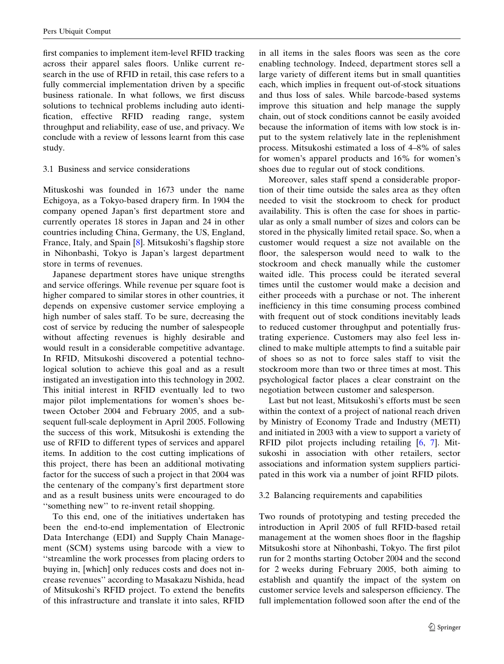first companies to implement item-level RFID tracking across their apparel sales floors. Unlike current research in the use of RFID in retail, this case refers to a fully commercial implementation driven by a specific business rationale. In what follows, we first discuss solutions to technical problems including auto identification, effective RFID reading range, system throughput and reliability, ease of use, and privacy. We conclude with a review of lessons learnt from this case study.

## 3.1 Business and service considerations

Mituskoshi was founded in 1673 under the name Echigoya, as a Tokyo-based drapery firm. In 1904 the company opened Japan's first department store and currently operates 18 stores in Japan and 24 in other countries including China, Germany, the US, England, France, Italy, and Spain [[8\]](#page-14-0). Mitsukoshi's flagship store in Nihonbashi, Tokyo is Japan's largest department store in terms of revenues.

Japanese department stores have unique strengths and service offerings. While revenue per square foot is higher compared to similar stores in other countries, it depends on expensive customer service employing a high number of sales staff. To be sure, decreasing the cost of service by reducing the number of salespeople without affecting revenues is highly desirable and would result in a considerable competitive advantage. In RFID, Mitsukoshi discovered a potential technological solution to achieve this goal and as a result instigated an investigation into this technology in 2002. This initial interest in RFID eventually led to two major pilot implementations for women's shoes between October 2004 and February 2005, and a subsequent full-scale deployment in April 2005. Following the success of this work, Mitsukoshi is extending the use of RFID to different types of services and apparel items. In addition to the cost cutting implications of this project, there has been an additional motivating factor for the success of such a project in that 2004 was the centenary of the company's first department store and as a result business units were encouraged to do ''something new'' to re-invent retail shopping.

To this end, one of the initiatives undertaken has been the end-to-end implementation of Electronic Data Interchange (EDI) and Supply Chain Management (SCM) systems using barcode with a view to ''streamline the work processes from placing orders to buying in, [which] only reduces costs and does not increase revenues'' according to Masakazu Nishida, head of Mitsukoshi's RFID project. To extend the benefits of this infrastructure and translate it into sales, RFID in all items in the sales floors was seen as the core enabling technology. Indeed, department stores sell a large variety of different items but in small quantities each, which implies in frequent out-of-stock situations and thus loss of sales. While barcode-based systems improve this situation and help manage the supply chain, out of stock conditions cannot be easily avoided because the information of items with low stock is input to the system relatively late in the replenishment process. Mitsukoshi estimated a loss of 4–8% of sales for women's apparel products and 16% for women's shoes due to regular out of stock conditions.

Moreover, sales staff spend a considerable proportion of their time outside the sales area as they often needed to visit the stockroom to check for product availability. This is often the case for shoes in particular as only a small number of sizes and colors can be stored in the physically limited retail space. So, when a customer would request a size not available on the floor, the salesperson would need to walk to the stockroom and check manually while the customer waited idle. This process could be iterated several times until the customer would make a decision and either proceeds with a purchase or not. The inherent inefficiency in this time consuming process combined with frequent out of stock conditions inevitably leads to reduced customer throughput and potentially frustrating experience. Customers may also feel less inclined to make multiple attempts to find a suitable pair of shoes so as not to force sales staff to visit the stockroom more than two or three times at most. This psychological factor places a clear constraint on the negotiation between customer and salesperson.

Last but not least, Mitsukoshi's efforts must be seen within the context of a project of national reach driven by Ministry of Economy Trade and Industry (METI) and initiated in 2003 with a view to support a variety of RFID pilot projects including retailing [\[6](#page-14-0), [7\]](#page-14-0). Mitsukoshi in association with other retailers, sector associations and information system suppliers participated in this work via a number of joint RFID pilots.

#### 3.2 Balancing requirements and capabilities

Two rounds of prototyping and testing preceded the introduction in April 2005 of full RFID-based retail management at the women shoes floor in the flagship Mitsukoshi store at Nihonbashi, Tokyo. The first pilot run for 2 months starting October 2004 and the second for 2 weeks during February 2005, both aiming to establish and quantify the impact of the system on customer service levels and salesperson efficiency. The full implementation followed soon after the end of the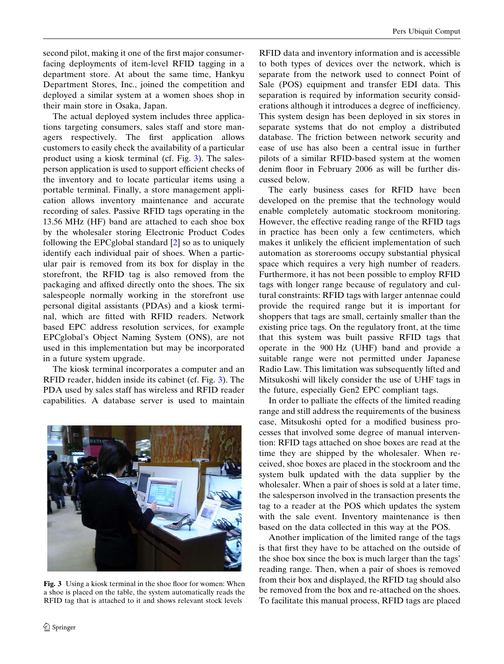<span id="page-9-0"></span>second pilot, making it one of the first major consumerfacing deployments of item-level RFID tagging in a department store. At about the same time, Hankyu Department Stores, Inc., joined the competition and deployed a similar system at a women shoes shop in their main store in Osaka, Japan.

The actual deployed system includes three applications targeting consumers, sales staff and store managers respectively. The first application allows customers to easily check the availability of a particular product using a kiosk terminal (cf. Fig. 3). The salesperson application is used to support efficient checks of the inventory and to locate particular items using a portable terminal. Finally, a store management application allows inventory maintenance and accurate recording of sales. Passive RFID tags operating in the 13.56 MHz (HF) band are attached to each shoe box by the wholesaler storing Electronic Product Codes following the EPCglobal standard [[2\]](#page-14-0) so as to uniquely identify each individual pair of shoes. When a particular pair is removed from its box for display in the storefront, the RFID tag is also removed from the packaging and affixed directly onto the shoes. The six salespeople normally working in the storefront use personal digital assistants (PDAs) and a kiosk terminal, which are fitted with RFID readers. Network based EPC address resolution services, for example EPCglobal's Object Naming System (ONS), are not used in this implementation but may be incorporated in a future system upgrade.

The kiosk terminal incorporates a computer and an RFID reader, hidden inside its cabinet (cf. Fig. 3). The PDA used by sales staff has wireless and RFID reader capabilities. A database server is used to maintain



Fig. 3 Using a kiosk terminal in the shoe floor for women: When a shoe is placed on the table, the system automatically reads the RFID tag that is attached to it and shows relevant stock levels

RFID data and inventory information and is accessible to both types of devices over the network, which is separate from the network used to connect Point of Sale (POS) equipment and transfer EDI data. This separation is required by information security considerations although it introduces a degree of inefficiency. This system design has been deployed in six stores in separate systems that do not employ a distributed database. The friction between network security and ease of use has also been a central issue in further pilots of a similar RFID-based system at the women denim floor in February 2006 as will be further discussed below.

The early business cases for RFID have been developed on the premise that the technology would enable completely automatic stockroom monitoring. However, the effective reading range of the RFID tags in practice has been only a few centimeters, which makes it unlikely the efficient implementation of such automation as storerooms occupy substantial physical space which requires a very high number of readers. Furthermore, it has not been possible to employ RFID tags with longer range because of regulatory and cultural constraints: RFID tags with larger antennae could provide the required range but it is important for shoppers that tags are small, certainly smaller than the existing price tags. On the regulatory front, at the time that this system was built passive RFID tags that operate in the 900 Hz (UHF) band and provide a suitable range were not permitted under Japanese Radio Law. This limitation was subsequently lifted and Mitsukoshi will likely consider the use of UHF tags in the future, especially Gen2 EPC compliant tags.

In order to palliate the effects of the limited reading range and still address the requirements of the business case, Mitsukoshi opted for a modified business processes that involved some degree of manual intervention: RFID tags attached on shoe boxes are read at the time they are shipped by the wholesaler. When received, shoe boxes are placed in the stockroom and the system bulk updated with the data supplier by the wholesaler. When a pair of shoes is sold at a later time, the salesperson involved in the transaction presents the tag to a reader at the POS which updates the system with the sale event. Inventory maintenance is then based on the data collected in this way at the POS.

Another implication of the limited range of the tags is that first they have to be attached on the outside of the shoe box since the box is much larger than the tags' reading range. Then, when a pair of shoes is removed from their box and displayed, the RFID tag should also be removed from the box and re-attached on the shoes. To facilitate this manual process, RFID tags are placed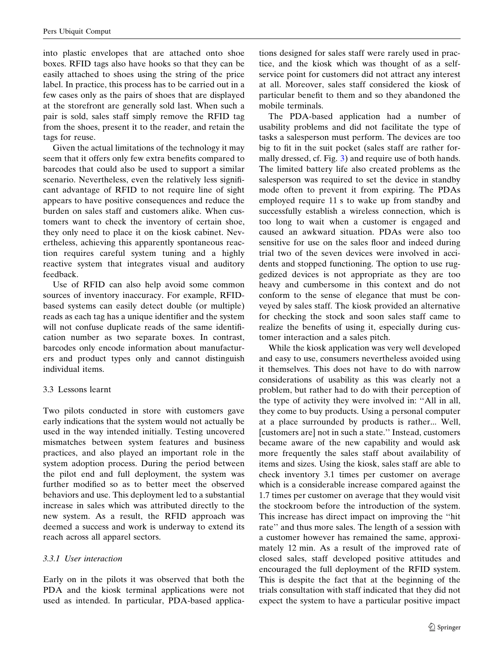into plastic envelopes that are attached onto shoe boxes. RFID tags also have hooks so that they can be easily attached to shoes using the string of the price label. In practice, this process has to be carried out in a few cases only as the pairs of shoes that are displayed at the storefront are generally sold last. When such a pair is sold, sales staff simply remove the RFID tag from the shoes, present it to the reader, and retain the tags for reuse.

Given the actual limitations of the technology it may seem that it offers only few extra benefits compared to barcodes that could also be used to support a similar scenario. Nevertheless, even the relatively less significant advantage of RFID to not require line of sight appears to have positive consequences and reduce the burden on sales staff and customers alike. When customers want to check the inventory of certain shoe, they only need to place it on the kiosk cabinet. Nevertheless, achieving this apparently spontaneous reaction requires careful system tuning and a highly reactive system that integrates visual and auditory feedback.

Use of RFID can also help avoid some common sources of inventory inaccuracy. For example, RFIDbased systems can easily detect double (or multiple) reads as each tag has a unique identifier and the system will not confuse duplicate reads of the same identification number as two separate boxes. In contrast, barcodes only encode information about manufacturers and product types only and cannot distinguish individual items.

## 3.3 Lessons learnt

Two pilots conducted in store with customers gave early indications that the system would not actually be used in the way intended initially. Testing uncovered mismatches between system features and business practices, and also played an important role in the system adoption process. During the period between the pilot end and full deployment, the system was further modified so as to better meet the observed behaviors and use. This deployment led to a substantial increase in sales which was attributed directly to the new system. As a result, the RFID approach was deemed a success and work is underway to extend its reach across all apparel sectors.

## 3.3.1 User interaction

Early on in the pilots it was observed that both the PDA and the kiosk terminal applications were not used as intended. In particular, PDA-based applications designed for sales staff were rarely used in practice, and the kiosk which was thought of as a selfservice point for customers did not attract any interest at all. Moreover, sales staff considered the kiosk of particular benefit to them and so they abandoned the mobile terminals.

The PDA-based application had a number of usability problems and did not facilitate the type of tasks a salesperson must perform. The devices are too big to fit in the suit pocket (sales staff are rather formally dressed, cf. Fig. [3](#page-9-0)) and require use of both hands. The limited battery life also created problems as the salesperson was required to set the device in standby mode often to prevent it from expiring. The PDAs employed require 11 s to wake up from standby and successfully establish a wireless connection, which is too long to wait when a customer is engaged and caused an awkward situation. PDAs were also too sensitive for use on the sales floor and indeed during trial two of the seven devices were involved in accidents and stopped functioning. The option to use ruggedized devices is not appropriate as they are too heavy and cumbersome in this context and do not conform to the sense of elegance that must be conveyed by sales staff. The kiosk provided an alternative for checking the stock and soon sales staff came to realize the benefits of using it, especially during customer interaction and a sales pitch.

While the kiosk application was very well developed and easy to use, consumers nevertheless avoided using it themselves. This does not have to do with narrow considerations of usability as this was clearly not a problem, but rather had to do with their perception of the type of activity they were involved in: ''All in all, they come to buy products. Using a personal computer at a place surrounded by products is rather... Well, [customers are] not in such a state.'' Instead, customers became aware of the new capability and would ask more frequently the sales staff about availability of items and sizes. Using the kiosk, sales staff are able to check inventory 3.1 times per customer on average which is a considerable increase compared against the 1.7 times per customer on average that they would visit the stockroom before the introduction of the system. This increase has direct impact on improving the ''hit rate'' and thus more sales. The length of a session with a customer however has remained the same, approximately 12 min. As a result of the improved rate of closed sales, staff developed positive attitudes and encouraged the full deployment of the RFID system. This is despite the fact that at the beginning of the trials consultation with staff indicated that they did not expect the system to have a particular positive impact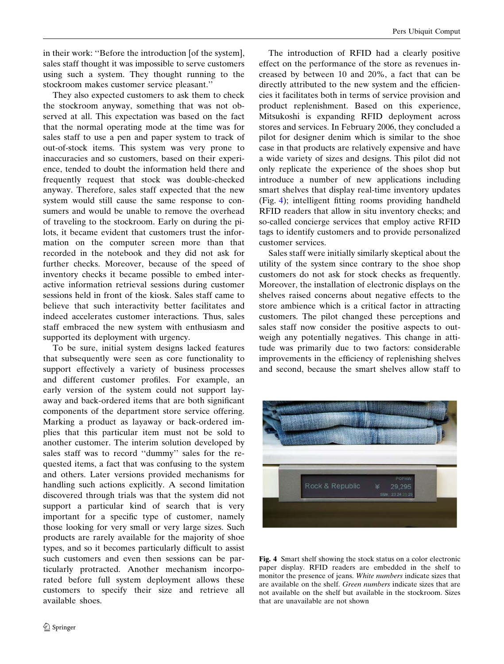in their work: ''Before the introduction [of the system], sales staff thought it was impossible to serve customers using such a system. They thought running to the stockroom makes customer service pleasant.''

They also expected customers to ask them to check the stockroom anyway, something that was not observed at all. This expectation was based on the fact that the normal operating mode at the time was for sales staff to use a pen and paper system to track of out-of-stock items. This system was very prone to inaccuracies and so customers, based on their experience, tended to doubt the information held there and frequently request that stock was double-checked anyway. Therefore, sales staff expected that the new system would still cause the same response to consumers and would be unable to remove the overhead of traveling to the stockroom. Early on during the pilots, it became evident that customers trust the information on the computer screen more than that recorded in the notebook and they did not ask for further checks. Moreover, because of the speed of inventory checks it became possible to embed interactive information retrieval sessions during customer sessions held in front of the kiosk. Sales staff came to believe that such interactivity better facilitates and indeed accelerates customer interactions. Thus, sales staff embraced the new system with enthusiasm and supported its deployment with urgency.

To be sure, initial system designs lacked features that subsequently were seen as core functionality to support effectively a variety of business processes and different customer profiles. For example, an early version of the system could not support layaway and back-ordered items that are both significant components of the department store service offering. Marking a product as layaway or back-ordered implies that this particular item must not be sold to another customer. The interim solution developed by sales staff was to record ''dummy'' sales for the requested items, a fact that was confusing to the system and others. Later versions provided mechanisms for handling such actions explicitly. A second limitation discovered through trials was that the system did not support a particular kind of search that is very important for a specific type of customer, namely those looking for very small or very large sizes. Such products are rarely available for the majority of shoe types, and so it becomes particularly difficult to assist such customers and even then sessions can be particularly protracted. Another mechanism incorporated before full system deployment allows these customers to specify their size and retrieve all available shoes.

The introduction of RFID had a clearly positive effect on the performance of the store as revenues increased by between 10 and 20%, a fact that can be directly attributed to the new system and the efficiencies it facilitates both in terms of service provision and product replenishment. Based on this experience, Mitsukoshi is expanding RFID deployment across stores and services. In February 2006, they concluded a pilot for designer denim which is similar to the shoe case in that products are relatively expensive and have a wide variety of sizes and designs. This pilot did not only replicate the experience of the shoes shop but introduce a number of new applications including smart shelves that display real-time inventory updates (Fig. 4); intelligent fitting rooms providing handheld RFID readers that allow in situ inventory checks; and so-called concierge services that employ active RFID tags to identify customers and to provide personalized customer services.

Sales staff were initially similarly skeptical about the utility of the system since contrary to the shoe shop customers do not ask for stock checks as frequently. Moreover, the installation of electronic displays on the shelves raised concerns about negative effects to the store ambience which is a critical factor in attracting customers. The pilot changed these perceptions and sales staff now consider the positive aspects to outweigh any potentially negatives. This change in attitude was primarily due to two factors: considerable improvements in the efficiency of replenishing shelves and second, because the smart shelves allow staff to



Fig. 4 Smart shelf showing the stock status on a color electronic paper display. RFID readers are embedded in the shelf to monitor the presence of jeans. White numbers indicate sizes that are available on the shelf. Green numbers indicate sizes that are not available on the shelf but available in the stockroom. Sizes that are unavailable are not shown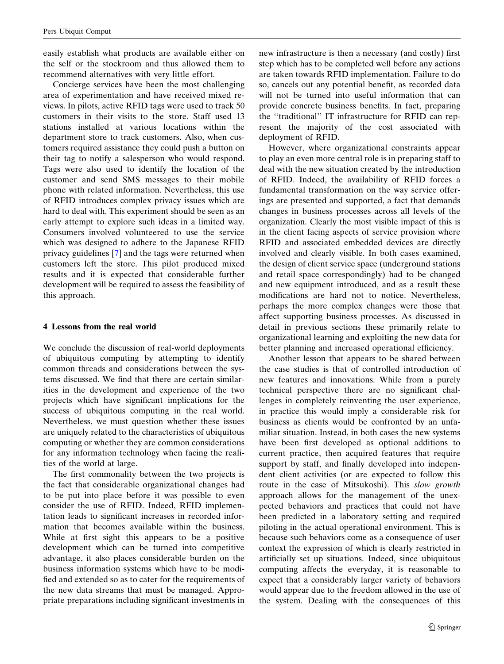easily establish what products are available either on the self or the stockroom and thus allowed them to recommend alternatives with very little effort.

Concierge services have been the most challenging area of experimentation and have received mixed reviews. In pilots, active RFID tags were used to track 50 customers in their visits to the store. Staff used 13 stations installed at various locations within the department store to track customers. Also, when customers required assistance they could push a button on their tag to notify a salesperson who would respond. Tags were also used to identify the location of the customer and send SMS messages to their mobile phone with related information. Nevertheless, this use of RFID introduces complex privacy issues which are hard to deal with. This experiment should be seen as an early attempt to explore such ideas in a limited way. Consumers involved volunteered to use the service which was designed to adhere to the Japanese RFID privacy guidelines [\[7](#page-14-0)] and the tags were returned when customers left the store. This pilot produced mixed results and it is expected that considerable further development will be required to assess the feasibility of this approach.

#### 4 Lessons from the real world

We conclude the discussion of real-world deployments of ubiquitous computing by attempting to identify common threads and considerations between the systems discussed. We find that there are certain similarities in the development and experience of the two projects which have significant implications for the success of ubiquitous computing in the real world. Nevertheless, we must question whether these issues are uniquely related to the characteristics of ubiquitous computing or whether they are common considerations for any information technology when facing the realities of the world at large.

The first commonality between the two projects is the fact that considerable organizational changes had to be put into place before it was possible to even consider the use of RFID. Indeed, RFID implementation leads to significant increases in recorded information that becomes available within the business. While at first sight this appears to be a positive development which can be turned into competitive advantage, it also places considerable burden on the business information systems which have to be modified and extended so as to cater for the requirements of the new data streams that must be managed. Appropriate preparations including significant investments in

new infrastructure is then a necessary (and costly) first step which has to be completed well before any actions are taken towards RFID implementation. Failure to do so, cancels out any potential benefit, as recorded data will not be turned into useful information that can provide concrete business benefits. In fact, preparing the ''traditional'' IT infrastructure for RFID can represent the majority of the cost associated with deployment of RFID.

However, where organizational constraints appear to play an even more central role is in preparing staff to deal with the new situation created by the introduction of RFID. Indeed, the availability of RFID forces a fundamental transformation on the way service offerings are presented and supported, a fact that demands changes in business processes across all levels of the organization. Clearly the most visible impact of this is in the client facing aspects of service provision where RFID and associated embedded devices are directly involved and clearly visible. In both cases examined, the design of client service space (underground stations and retail space correspondingly) had to be changed and new equipment introduced, and as a result these modifications are hard not to notice. Nevertheless, perhaps the more complex changes were those that affect supporting business processes. As discussed in detail in previous sections these primarily relate to organizational learning and exploiting the new data for better planning and increased operational efficiency.

Another lesson that appears to be shared between the case studies is that of controlled introduction of new features and innovations. While from a purely technical perspective there are no significant challenges in completely reinventing the user experience, in practice this would imply a considerable risk for business as clients would be confronted by an unfamiliar situation. Instead, in both cases the new systems have been first developed as optional additions to current practice, then acquired features that require support by staff, and finally developed into independent client activities (or are expected to follow this route in the case of Mitsukoshi). This slow growth approach allows for the management of the unexpected behaviors and practices that could not have been predicted in a laboratory setting and required piloting in the actual operational environment. This is because such behaviors come as a consequence of user context the expression of which is clearly restricted in artificially set up situations. Indeed, since ubiquitous computing affects the everyday, it is reasonable to expect that a considerably larger variety of behaviors would appear due to the freedom allowed in the use of the system. Dealing with the consequences of this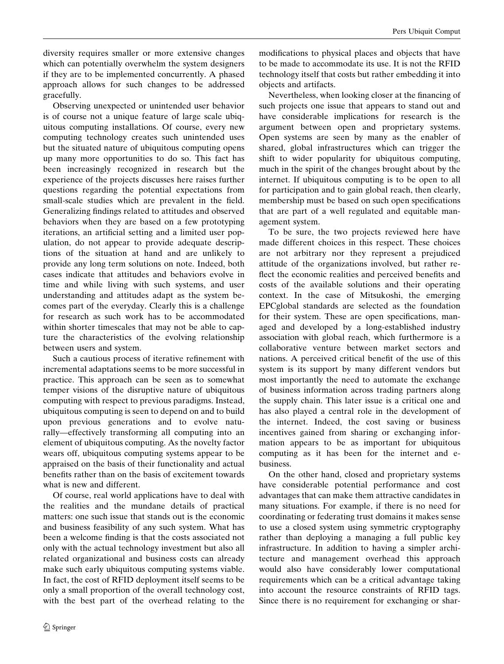diversity requires smaller or more extensive changes which can potentially overwhelm the system designers if they are to be implemented concurrently. A phased approach allows for such changes to be addressed gracefully.

Observing unexpected or unintended user behavior is of course not a unique feature of large scale ubiquitous computing installations. Of course, every new computing technology creates such unintended uses but the situated nature of ubiquitous computing opens up many more opportunities to do so. This fact has been increasingly recognized in research but the experience of the projects discusses here raises further questions regarding the potential expectations from small-scale studies which are prevalent in the field. Generalizing findings related to attitudes and observed behaviors when they are based on a few prototyping iterations, an artificial setting and a limited user population, do not appear to provide adequate descriptions of the situation at hand and are unlikely to provide any long term solutions on note. Indeed, both cases indicate that attitudes and behaviors evolve in time and while living with such systems, and user understanding and attitudes adapt as the system becomes part of the everyday. Clearly this is a challenge for research as such work has to be accommodated within shorter timescales that may not be able to capture the characteristics of the evolving relationship between users and system.

Such a cautious process of iterative refinement with incremental adaptations seems to be more successful in practice. This approach can be seen as to somewhat temper visions of the disruptive nature of ubiquitous computing with respect to previous paradigms. Instead, ubiquitous computing is seen to depend on and to build upon previous generations and to evolve naturally—effectively transforming all computing into an element of ubiquitous computing. As the novelty factor wears off, ubiquitous computing systems appear to be appraised on the basis of their functionality and actual benefits rather than on the basis of excitement towards what is new and different.

Of course, real world applications have to deal with the realities and the mundane details of practical matters: one such issue that stands out is the economic and business feasibility of any such system. What has been a welcome finding is that the costs associated not only with the actual technology investment but also all related organizational and business costs can already make such early ubiquitous computing systems viable. In fact, the cost of RFID deployment itself seems to be only a small proportion of the overall technology cost, with the best part of the overhead relating to the modifications to physical places and objects that have to be made to accommodate its use. It is not the RFID technology itself that costs but rather embedding it into objects and artifacts.

Nevertheless, when looking closer at the financing of such projects one issue that appears to stand out and have considerable implications for research is the argument between open and proprietary systems. Open systems are seen by many as the enabler of shared, global infrastructures which can trigger the shift to wider popularity for ubiquitous computing, much in the spirit of the changes brought about by the internet. If ubiquitous computing is to be open to all for participation and to gain global reach, then clearly, membership must be based on such open specifications that are part of a well regulated and equitable management system.

To be sure, the two projects reviewed here have made different choices in this respect. These choices are not arbitrary nor they represent a prejudiced attitude of the organizations involved, but rather reflect the economic realities and perceived benefits and costs of the available solutions and their operating context. In the case of Mitsukoshi, the emerging EPCglobal standards are selected as the foundation for their system. These are open specifications, managed and developed by a long-established industry association with global reach, which furthermore is a collaborative venture between market sectors and nations. A perceived critical benefit of the use of this system is its support by many different vendors but most importantly the need to automate the exchange of business information across trading partners along the supply chain. This later issue is a critical one and has also played a central role in the development of the internet. Indeed, the cost saving or business incentives gained from sharing or exchanging information appears to be as important for ubiquitous computing as it has been for the internet and ebusiness.

On the other hand, closed and proprietary systems have considerable potential performance and cost advantages that can make them attractive candidates in many situations. For example, if there is no need for coordinating or federating trust domains it makes sense to use a closed system using symmetric cryptography rather than deploying a managing a full public key infrastructure. In addition to having a simpler architecture and management overhead this approach would also have considerably lower computational requirements which can be a critical advantage taking into account the resource constraints of RFID tags. Since there is no requirement for exchanging or shar